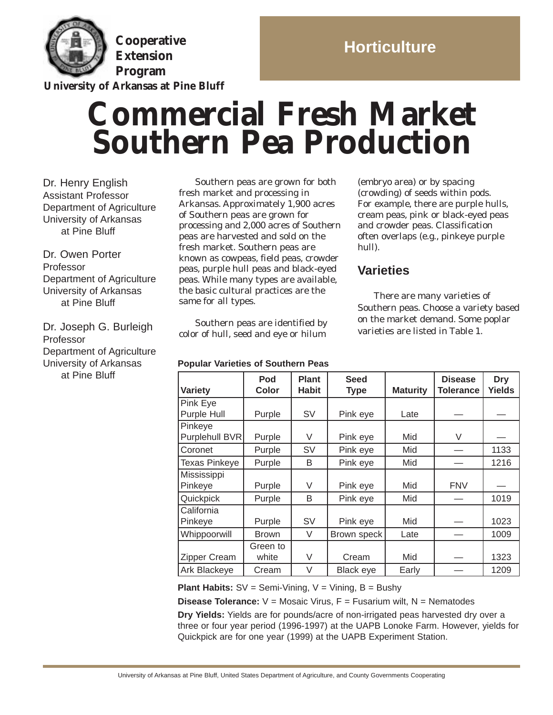

**Cooperative Extension Program**

**University of Arkansas at Pine Bluff**

# **Horticulture**

# **Commercial Fresh Market Southern Pea Production**

Dr. Henry English Assistant Professor Department of Agriculture University of Arkansas at Pine Bluff

Dr. Owen Porter Professor Department of Agriculture University of Arkansas at Pine Bluff

Dr. Joseph G. Burleigh Professor Department of Agriculture University of Arkansas at Pine Bluff

Southern peas are grown for both fresh market and processing in Arkansas. Approximately 1,900 acres of Southern peas are grown for processing and 2,000 acres of Southern peas are harvested and sold on the fresh market. Southern peas are known as cowpeas, field peas, crowder peas, purple hull peas and black-eyed peas. While many types are available, the basic cultural practices are the same for all types.

Southern peas are identified by color of hull, seed and eye or hilum

#### **Popular Varieties of Southern Peas**

(embryo area) or by spacing (crowding) of seeds within pods. For example, there are purple hulls, cream peas, pink or black-eyed peas and crowder peas. Classification often overlaps (e.g., pinkeye purple hull).

# **Varieties**

There are many varieties of Southern peas. Choose a variety based on the market demand. Some poplar varieties are listed in Table 1.

| <b>Variety</b>            | Pod<br>Color      | <b>Plant</b><br><b>Habit</b> | <b>Seed</b><br><b>Type</b> | <b>Maturity</b> | <b>Disease</b><br><b>Tolerance</b> | <b>Dry</b><br>Yields |
|---------------------------|-------------------|------------------------------|----------------------------|-----------------|------------------------------------|----------------------|
| Pink Eye<br>Purple Hull   | Purple            | SV                           | Pink eye                   | Late            |                                    |                      |
| Pinkeye<br>Purplehull BVR | Purple            | V                            | Pink eye                   | Mid             | V                                  |                      |
| Coronet                   | Purple            | SV                           | Pink eye                   | Mid             |                                    | 1133                 |
| <b>Texas Pinkeye</b>      | Purple            | B                            | Pink eye                   | Mid             |                                    | 1216                 |
| Mississippi<br>Pinkeye    | Purple            | V                            | Pink eye                   | Mid             | <b>FNV</b>                         |                      |
| Quickpick                 | Purple            | B                            | Pink eye                   | Mid             |                                    | 1019                 |
| California<br>Pinkeye     | Purple            | SV                           | Pink eye                   | Mid             |                                    | 1023                 |
| Whippoorwill              | <b>Brown</b>      | V                            | Brown speck                | Late            |                                    | 1009                 |
| <b>Zipper Cream</b>       | Green to<br>white | V                            | Cream                      | Mid             |                                    | 1323                 |
| Ark Blackeye              | Cream             | V                            | <b>Black eye</b>           | Early           |                                    | 1209                 |

**Plant Habits:** SV = Semi-Vining, V = Vining, B = Bushy

**Disease Tolerance:**  $V = M$ osaic Virus, F = Fusarium wilt, N = Nematodes

**Dry Yields:** Yields are for pounds/acre of non-irrigated peas harvested dry over a three or four year period (1996-1997) at the UAPB Lonoke Farm. However, yields for Quickpick are for one year (1999) at the UAPB Experiment Station.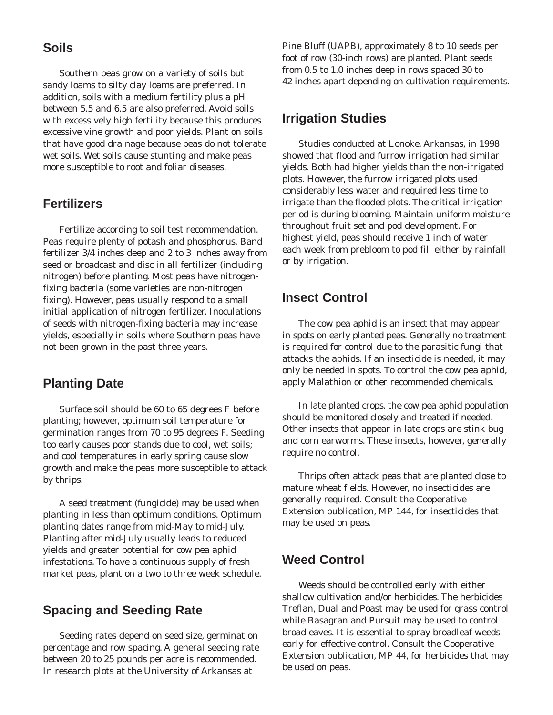#### **Soils**

Southern peas grow on a variety of soils but sandy loams to silty clay loams are preferred. In addition, soils with a medium fertility plus a pH between 5.5 and 6.5 are also preferred. Avoid soils with excessively high fertility because this produces excessive vine growth and poor yields. Plant on soils that have good drainage because peas do not tolerate wet soils. Wet soils cause stunting and make peas more susceptible to root and foliar diseases.

# **Fertilizers**

Fertilize according to soil test recommendation. Peas require plenty of potash and phosphorus. Band fertilizer 3/4 inches deep and 2 to 3 inches away from seed or broadcast and disc in all fertilizer (including nitrogen) before planting. Most peas have nitrogenfixing bacteria (some varieties are non-nitrogen fixing). However, peas usually respond to a small initial application of nitrogen fertilizer. Inoculations of seeds with nitrogen-fixing bacteria may increase yields, especially in soils where Southern peas have not been grown in the past three years.

# **Planting Date**

Surface soil should be 60 to 65 degrees F before planting; however, optimum soil temperature for germination ranges from 70 to 95 degrees F. Seeding too early causes poor stands due to cool, wet soils; and cool temperatures in early spring cause slow growth and make the peas more susceptible to attack by thrips.

A seed treatment (fungicide) may be used when planting in less than optimum conditions. Optimum planting dates range from mid-May to mid-July. Planting after mid-July usually leads to reduced yields and greater potential for cow pea aphid infestations. To have a continuous supply of fresh market peas, plant on a two to three week schedule.

#### **Spacing and Seeding Rate**

Seeding rates depend on seed size, germination percentage and row spacing. A general seeding rate between 20 to 25 pounds per acre is recommended. In research plots at the University of Arkansas at

Pine Bluff (UAPB), approximately 8 to 10 seeds per foot of row (30-inch rows) are planted. Plant seeds from 0.5 to 1.0 inches deep in rows spaced 30 to 42 inches apart depending on cultivation requirements.

#### **Irrigation Studies**

Studies conducted at Lonoke, Arkansas, in 1998 showed that flood and furrow irrigation had similar yields. Both had higher yields than the non-irrigated plots. However, the furrow irrigated plots used considerably less water and required less time to irrigate than the flooded plots. The critical irrigation period is during blooming. Maintain uniform moisture throughout fruit set and pod development. For highest yield, peas should receive 1 inch of water each week from prebloom to pod fill either by rainfall or by irrigation.

#### **Insect Control**

The cow pea aphid is an insect that may appear in spots on early planted peas. Generally no treatment is required for control due to the parasitic fungi that attacks the aphids. If an insecticide is needed, it may only be needed in spots. To control the cow pea aphid, apply Malathion or other recommended chemicals.

In late planted crops, the cow pea aphid population should be monitored closely and treated if needed. Other insects that appear in late crops are stink bug and corn earworms. These insects, however, generally require no control.

Thrips often attack peas that are planted close to mature wheat fields. However, no insecticides are generally required. Consult the Cooperative Extension publication, MP 144, for insecticides that may be used on peas.

#### **Weed Control**

Weeds should be controlled early with either shallow cultivation and/or herbicides. The herbicides Treflan, Dual and Poast may be used for grass control while Basagran and Pursuit may be used to control broadleaves. It is essential to spray broadleaf weeds early for effective control. Consult the Cooperative Extension publication, MP 44, for herbicides that may be used on peas.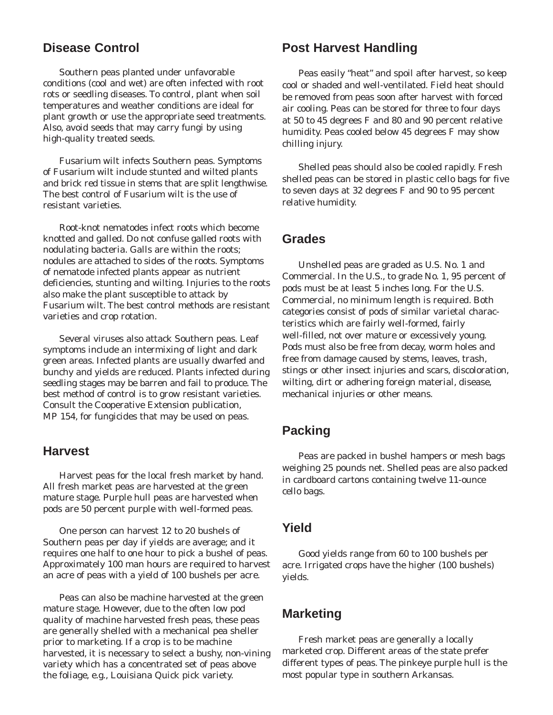#### **Disease Control**

Southern peas planted under unfavorable conditions (cool and wet) are often infected with root rots or seedling diseases. To control, plant when soil temperatures and weather conditions are ideal for plant growth or use the appropriate seed treatments. Also, avoid seeds that may carry fungi by using high-quality treated seeds.

Fusarium wilt infects Southern peas. Symptoms of Fusarium wilt include stunted and wilted plants and brick red tissue in stems that are split lengthwise. The best control of Fusarium wilt is the use of resistant varieties.

Root-knot nematodes infect roots which become knotted and galled. Do not confuse galled roots with nodulating bacteria. Galls are within the roots; nodules are attached to sides of the roots. Symptoms of nematode infected plants appear as nutrient deficiencies, stunting and wilting. Injuries to the roots also make the plant susceptible to attack by Fusarium wilt. The best control methods are resistant varieties and crop rotation.

Several viruses also attack Southern peas. Leaf symptoms include an intermixing of light and dark green areas. Infected plants are usually dwarfed and bunchy and yields are reduced. Plants infected during seedling stages may be barren and fail to produce. The best method of control is to grow resistant varieties. Consult the Cooperative Extension publication, MP 154, for fungicides that may be used on peas.

#### **Harvest**

Harvest peas for the local fresh market by hand. All fresh market peas are harvested at the green mature stage. Purple hull peas are harvested when pods are 50 percent purple with well-formed peas.

One person can harvest 12 to 20 bushels of Southern peas per day if yields are average; and it requires one half to one hour to pick a bushel of peas. Approximately 100 man hours are required to harvest an acre of peas with a yield of 100 bushels per acre.

Peas can also be machine harvested at the green mature stage. However, due to the often low pod quality of machine harvested fresh peas, these peas are generally shelled with a mechanical pea sheller prior to marketing. If a crop is to be machine harvested, it is necessary to select a bushy, non-vining variety which has a concentrated set of peas above the foliage, e.g., Louisiana Quick pick variety.

#### **Post Harvest Handling**

Peas easily "heat" and spoil after harvest, so keep cool or shaded and well-ventilated. Field heat should be removed from peas soon after harvest with forced air cooling. Peas can be stored for three to four days at 50 to 45 degrees F and 80 and 90 percent relative humidity. Peas cooled below 45 degrees F may show chilling injury.

Shelled peas should also be cooled rapidly. Fresh shelled peas can be stored in plastic cello bags for five to seven days at 32 degrees F and 90 to 95 percent relative humidity.

#### **Grades**

Unshelled peas are graded as U.S. No. 1 and Commercial. In the U.S., to grade No. 1, 95 percent of pods must be at least 5 inches long. For the U.S. Commercial, no minimum length is required. Both categories consist of pods of similar varietal characteristics which are fairly well-formed, fairly well-filled, not over mature or excessively young. Pods must also be free from decay, worm holes and free from damage caused by stems, leaves, trash, stings or other insect injuries and scars, discoloration, wilting, dirt or adhering foreign material, disease, mechanical injuries or other means.

#### **Packing**

Peas are packed in bushel hampers or mesh bags weighing 25 pounds net. Shelled peas are also packed in cardboard cartons containing twelve 11-ounce cello bags.

#### **Yield**

Good yields range from 60 to 100 bushels per acre. Irrigated crops have the higher (100 bushels) yields.

#### **Marketing**

Fresh market peas are generally a locally marketed crop. Different areas of the state prefer different types of peas. The pinkeye purple hull is the most popular type in southern Arkansas.